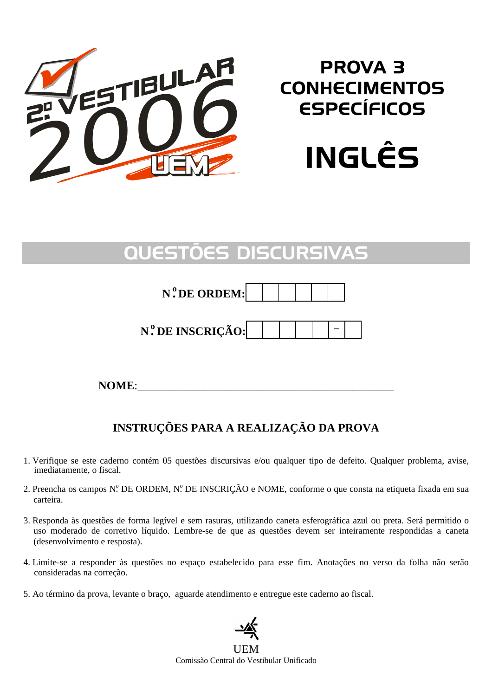

# PROVA 3 **CONHECIMENTOS** ESPECÍFICOS



# QUESTÕES DISCURSIVAS

## **N . o DE ORDEM:**

## **N°.DE INSCRIÇÃO: │ │ │ │ │ ─**

**NOME:** 

## **INSTRUÇÕES PARA A REALIZAÇÃO DA PROVA**

- 1. Verifique se este caderno contém 05 questões discursivas e/ou qualquer tipo de defeito. Qualquer problema, avise, imediatamente, o fiscal.
- 2. Preencha os campos Nº DE ORDEM, Nº DE INSCRIÇÃO e NOME, conforme o que consta na etiqueta fixada em sua carteira.
- 3. Responda às questões de forma legível e sem rasuras, utilizando caneta esferográfica azul ou preta. Será permitido o uso moderado de corretivo líquido. Lembre-se de que as questões devem ser inteiramente respondidas a caneta (desenvolvimento e resposta).
- 4. Limite-se a responder às questões no espaço estabelecido para esse fim. Anotações no verso da folha não serão consideradas na correção.
- 5. Ao término da prova, levante o braço, aguarde atendimento e entregue este caderno ao fiscal.

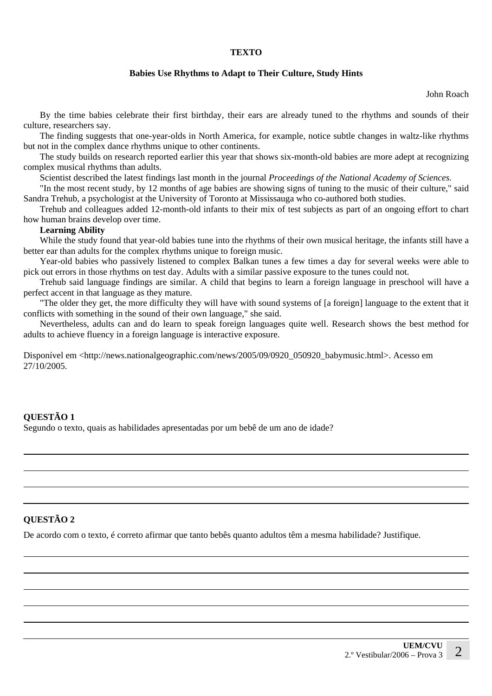#### **TEXTO**

#### **Babies Use Rhythms to Adapt to Their Culture, Study Hints**

John Roach

By the time babies celebrate their first birthday, their ears are already tuned to the rhythms and sounds of their culture, researchers say.

The finding suggests that one-year-olds in North America, for example, notice subtle changes in waltz-like rhythms but not in the complex dance rhythms unique to other continents.

The study builds on research reported earlier this year that shows six-month-old babies are more adept at recognizing complex musical rhythms than adults.

Scientist described the latest findings last month in the journal *Proceedings of the National Academy of Sciences.*

"In the most recent study, by 12 months of age babies are showing signs of tuning to the music of their culture," said Sandra Trehub, a psychologist at the University of Toronto at Mississauga who co-authored both studies.

Trehub and colleagues added 12-month-old infants to their mix of test subjects as part of an ongoing effort to chart how human brains develop over time.

#### **Learning Ability**

While the study found that year-old babies tune into the rhythms of their own musical heritage, the infants still have a better ear than adults for the complex rhythms unique to foreign music.

Year-old babies who passively listened to complex Balkan tunes a few times a day for several weeks were able to pick out errors in those rhythms on test day. Adults with a similar passive exposure to the tunes could not.

Trehub said language findings are similar. A child that begins to learn a foreign language in preschool will have a perfect accent in that language as they mature.

"The older they get, the more difficulty they will have with sound systems of [a foreign] language to the extent that it conflicts with something in the sound of their own language," she said.

Nevertheless, adults can and do learn to speak foreign languages quite well. Research shows the best method for adults to achieve fluency in a foreign language is interactive exposure.

Disponível em <http://news.nationalgeographic.com/news/2005/09/0920\_050920\_babymusic.html>. Acesso em 27/10/2005.

#### **QUESTÃO 1**

Segundo o texto, quais as habilidades apresentadas por um bebê de um ano de idade?

#### **QUESTÃO 2**

De acordo com o texto, é correto afirmar que tanto bebês quanto adultos têm a mesma habilidade? Justifique.